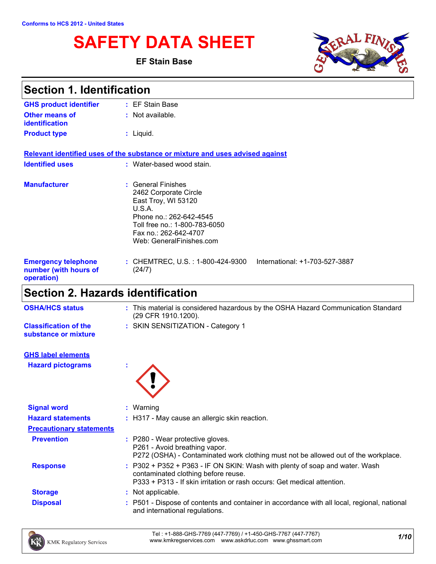# **SAFETY DATA SHEET**

**EF Stain Base**



| <b>Section 1. Identification</b>                                  |                                                                                                                                                                                               |
|-------------------------------------------------------------------|-----------------------------------------------------------------------------------------------------------------------------------------------------------------------------------------------|
| <b>GHS product identifier</b>                                     | : EF Stain Base                                                                                                                                                                               |
| <b>Other means of</b><br>identification                           | $:$ Not available.                                                                                                                                                                            |
| <b>Product type</b>                                               | $:$ Liquid.                                                                                                                                                                                   |
|                                                                   | Relevant identified uses of the substance or mixture and uses advised against                                                                                                                 |
| <b>Identified uses</b>                                            | : Water-based wood stain.                                                                                                                                                                     |
| <b>Manufacturer</b>                                               | : General Finishes<br>2462 Corporate Circle<br>East Troy, WI 53120<br>U.S.A.<br>Phone no.: 262-642-4545<br>Toll free no.: 1-800-783-6050<br>Fax no.: 262-642-4707<br>Web: GeneralFinishes.com |
| <b>Emergency telephone</b><br>number (with hours of<br>operation) | International: +1-703-527-3887<br>: CHEMTREC, U.S. : 1-800-424-9300<br>(24/7)                                                                                                                 |
| <b>Section 2. Hazards identification</b>                          |                                                                                                                                                                                               |
| <b>OSHA/HCS status</b>                                            | : This material is considered hazardous by the OSHA Hazard Communication Standard<br>(29 CFR 1910.1200).                                                                                      |
| <b>Classification of the</b><br>substance or mixture              | : SKIN SENSITIZATION - Category 1                                                                                                                                                             |

**Hazard pictograms : GHS label elements**



| <b>Signal word</b>              | $:$ Warning                                                                                                                                                                                   |
|---------------------------------|-----------------------------------------------------------------------------------------------------------------------------------------------------------------------------------------------|
| <b>Hazard statements</b>        | : H317 - May cause an allergic skin reaction.                                                                                                                                                 |
| <b>Precautionary statements</b> |                                                                                                                                                                                               |
| <b>Prevention</b>               | : P280 - Wear protective gloves.<br>P261 - Avoid breathing vapor.<br>P272 (OSHA) - Contaminated work clothing must not be allowed out of the workplace.                                       |
| <b>Response</b>                 | : P302 + P352 + P363 - IF ON SKIN: Wash with plenty of soap and water. Wash<br>contaminated clothing before reuse.<br>P333 + P313 - If skin irritation or rash occurs: Get medical attention. |
| <b>Storage</b>                  | : Not applicable.                                                                                                                                                                             |
| <b>Disposal</b>                 | : P501 - Dispose of contents and container in accordance with all local, regional, national<br>and international regulations.                                                                 |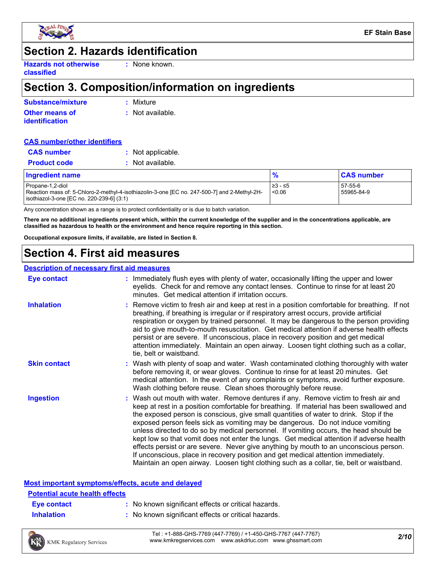

### **Section 2. Hazards identification**

**Hazards not otherwise classified**

**:** None known.

### **Section 3. Composition/information on ingredients**

| Substance/mixture     | : Mixture        |
|-----------------------|------------------|
| Other means of        | : Not available. |
| <b>identification</b> |                  |

#### **CAS number/other identifiers**

| <b>CAS</b> number   | : Not applicable. |
|---------------------|-------------------|
| <b>Product code</b> | : Not available.  |

| <b>Ingredient name</b>                                                                                                                                        |                    | <b>CAS number</b>     |  |
|---------------------------------------------------------------------------------------------------------------------------------------------------------------|--------------------|-----------------------|--|
| Propane-1,2-diol<br>-Reaction mass of: 5-Chloro-2-methyl-4-isothiazolin-3-one [EC no. 247-500-7] and 2-Methyl-2H<br>isothiazol-3-one [EC no. 220-239-6] (3:1) | 1≥3 - ≤5<br>< 0.06 | 57-55-6<br>55965-84-9 |  |

Any concentration shown as a range is to protect confidentiality or is due to batch variation.

**There are no additional ingredients present which, within the current knowledge of the supplier and in the concentrations applicable, are classified as hazardous to health or the environment and hence require reporting in this section.**

**Occupational exposure limits, if available, are listed in Section 8.**

### **Section 4. First aid measures**

#### **Description of necessary first aid measures**

| <b>Eye contact</b>  | : Immediately flush eyes with plenty of water, occasionally lifting the upper and lower<br>eyelids. Check for and remove any contact lenses. Continue to rinse for at least 20<br>minutes. Get medical attention if irritation occurs.                                                                                                                                                                                                                                                                                                                                                                                                                                                                                                                                                                                    |
|---------------------|---------------------------------------------------------------------------------------------------------------------------------------------------------------------------------------------------------------------------------------------------------------------------------------------------------------------------------------------------------------------------------------------------------------------------------------------------------------------------------------------------------------------------------------------------------------------------------------------------------------------------------------------------------------------------------------------------------------------------------------------------------------------------------------------------------------------------|
| <b>Inhalation</b>   | : Remove victim to fresh air and keep at rest in a position comfortable for breathing. If not<br>breathing, if breathing is irregular or if respiratory arrest occurs, provide artificial<br>respiration or oxygen by trained personnel. It may be dangerous to the person providing<br>aid to give mouth-to-mouth resuscitation. Get medical attention if adverse health effects<br>persist or are severe. If unconscious, place in recovery position and get medical<br>attention immediately. Maintain an open airway. Loosen tight clothing such as a collar,<br>tie, belt or waistband.                                                                                                                                                                                                                              |
| <b>Skin contact</b> | : Wash with plenty of soap and water. Wash contaminated clothing thoroughly with water<br>before removing it, or wear gloves. Continue to rinse for at least 20 minutes. Get<br>medical attention. In the event of any complaints or symptoms, avoid further exposure.<br>Wash clothing before reuse. Clean shoes thoroughly before reuse.                                                                                                                                                                                                                                                                                                                                                                                                                                                                                |
| <b>Ingestion</b>    | : Wash out mouth with water. Remove dentures if any. Remove victim to fresh air and<br>keep at rest in a position comfortable for breathing. If material has been swallowed and<br>the exposed person is conscious, give small quantities of water to drink. Stop if the<br>exposed person feels sick as vomiting may be dangerous. Do not induce vomiting<br>unless directed to do so by medical personnel. If vomiting occurs, the head should be<br>kept low so that vomit does not enter the lungs. Get medical attention if adverse health<br>effects persist or are severe. Never give anything by mouth to an unconscious person.<br>If unconscious, place in recovery position and get medical attention immediately.<br>Maintain an open airway. Loosen tight clothing such as a collar, tie, belt or waistband. |

### **Most important symptoms/effects, acute and delayed**

### **Eye contact :** No known significant effects or critical hazards. **Potential acute health effects**

- 
- **Inhalation :** No known significant effects or critical hazards.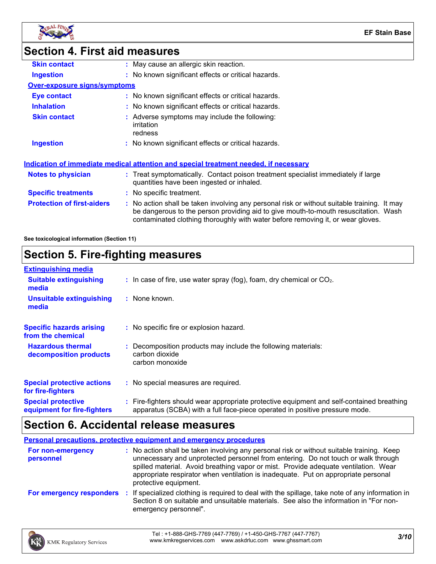

### **Section 4. First aid measures**

| <b>Skin contact</b>                 | : May cause an allergic skin reaction.                                                                                                                                                                                                                                |
|-------------------------------------|-----------------------------------------------------------------------------------------------------------------------------------------------------------------------------------------------------------------------------------------------------------------------|
| <b>Ingestion</b>                    | : No known significant effects or critical hazards.                                                                                                                                                                                                                   |
| <b>Over-exposure signs/symptoms</b> |                                                                                                                                                                                                                                                                       |
| Eye contact                         | : No known significant effects or critical hazards.                                                                                                                                                                                                                   |
| <b>Inhalation</b>                   | : No known significant effects or critical hazards.                                                                                                                                                                                                                   |
| <b>Skin contact</b>                 | : Adverse symptoms may include the following:<br>irritation<br>redness                                                                                                                                                                                                |
| <b>Ingestion</b>                    | : No known significant effects or critical hazards.                                                                                                                                                                                                                   |
|                                     | <u>Indication of immediate medical attention and special treatment needed, if necessary</u>                                                                                                                                                                           |
| Notes to physician                  | : Treat symptomatically. Contact poison treatment specialist immediately if large<br>quantities have been ingested or inhaled.                                                                                                                                        |
| <b>Specific treatments</b>          | : No specific treatment.                                                                                                                                                                                                                                              |
| <b>Protection of first-aiders</b>   | : No action shall be taken involving any personal risk or without suitable training. It may<br>be dangerous to the person providing aid to give mouth-to-mouth resuscitation. Wash<br>contaminated clothing thoroughly with water before removing it, or wear gloves. |
|                                     |                                                                                                                                                                                                                                                                       |

**See toxicological information (Section 11)**

### **Section 5. Fire-fighting measures**

| <b>Extinguishing media</b>                               |                                                                                                                                                                          |
|----------------------------------------------------------|--------------------------------------------------------------------------------------------------------------------------------------------------------------------------|
| <b>Suitable extinguishing</b><br>media                   | $\therefore$ In case of fire, use water spray (fog), foam, dry chemical or CO <sub>2</sub> .                                                                             |
| <b>Unsuitable extinguishing</b><br>media                 | : None known.                                                                                                                                                            |
| <b>Specific hazards arising</b><br>from the chemical     | : No specific fire or explosion hazard.                                                                                                                                  |
| <b>Hazardous thermal</b><br>decomposition products       | : Decomposition products may include the following materials:<br>carbon dioxide<br>carbon monoxide                                                                       |
| <b>Special protective actions</b><br>for fire-fighters   | : No special measures are required.                                                                                                                                      |
| <b>Special protective</b><br>equipment for fire-fighters | : Fire-fighters should wear appropriate protective equipment and self-contained breathing<br>apparatus (SCBA) with a full face-piece operated in positive pressure mode. |

### **Section 6. Accidental release measures**

**Personal precautions, protective equipment and emergency procedures**

| <b>For non-emergency</b><br>personnel | : No action shall be taken involving any personal risk or without suitable training. Keep<br>unnecessary and unprotected personnel from entering. Do not touch or walk through<br>spilled material. Avoid breathing vapor or mist. Provide adequate ventilation. Wear<br>appropriate respirator when ventilation is inadequate. Put on appropriate personal<br>protective equipment. |
|---------------------------------------|--------------------------------------------------------------------------------------------------------------------------------------------------------------------------------------------------------------------------------------------------------------------------------------------------------------------------------------------------------------------------------------|
| For emergency responders              | : If specialized clothing is required to deal with the spillage, take note of any information in<br>Section 8 on suitable and unsuitable materials. See also the information in "For non-<br>emergency personnel".                                                                                                                                                                   |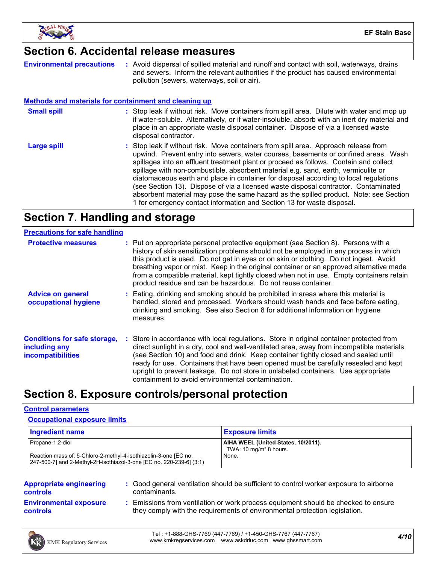

### **Section 6. Accidental release measures**

| <b>Environmental precautions</b>                             | : Avoid dispersal of spilled material and runoff and contact with soil, waterways, drains<br>and sewers. Inform the relevant authorities if the product has caused environmental<br>pollution (sewers, waterways, soil or air).                                                                                                                                                                                                                                                                                                                                                                                                                                                                              |
|--------------------------------------------------------------|--------------------------------------------------------------------------------------------------------------------------------------------------------------------------------------------------------------------------------------------------------------------------------------------------------------------------------------------------------------------------------------------------------------------------------------------------------------------------------------------------------------------------------------------------------------------------------------------------------------------------------------------------------------------------------------------------------------|
| <b>Methods and materials for containment and cleaning up</b> |                                                                                                                                                                                                                                                                                                                                                                                                                                                                                                                                                                                                                                                                                                              |
| <b>Small spill</b>                                           | : Stop leak if without risk. Move containers from spill area. Dilute with water and mop up<br>if water-soluble. Alternatively, or if water-insoluble, absorb with an inert dry material and<br>place in an appropriate waste disposal container. Dispose of via a licensed waste<br>disposal contractor.                                                                                                                                                                                                                                                                                                                                                                                                     |
| <b>Large spill</b>                                           | : Stop leak if without risk. Move containers from spill area. Approach release from<br>upwind. Prevent entry into sewers, water courses, basements or confined areas. Wash<br>spillages into an effluent treatment plant or proceed as follows. Contain and collect<br>spillage with non-combustible, absorbent material e.g. sand, earth, vermiculite or<br>diatomaceous earth and place in container for disposal according to local regulations<br>(see Section 13). Dispose of via a licensed waste disposal contractor. Contaminated<br>absorbent material may pose the same hazard as the spilled product. Note: see Section<br>1 for emergency contact information and Section 13 for waste disposal. |

### **Section 7. Handling and storage**

| <b>Precautions for safe handling</b>                                             |                                                                                                                                                                                                                                                                                                                                                                                                                                                                                                                              |
|----------------------------------------------------------------------------------|------------------------------------------------------------------------------------------------------------------------------------------------------------------------------------------------------------------------------------------------------------------------------------------------------------------------------------------------------------------------------------------------------------------------------------------------------------------------------------------------------------------------------|
| <b>Protective measures</b>                                                       | : Put on appropriate personal protective equipment (see Section 8). Persons with a<br>history of skin sensitization problems should not be employed in any process in which<br>this product is used. Do not get in eyes or on skin or clothing. Do not ingest. Avoid<br>breathing vapor or mist. Keep in the original container or an approved alternative made<br>from a compatible material, kept tightly closed when not in use. Empty containers retain<br>product residue and can be hazardous. Do not reuse container. |
| <b>Advice on general</b><br>occupational hygiene                                 | : Eating, drinking and smoking should be prohibited in areas where this material is<br>handled, stored and processed. Workers should wash hands and face before eating,<br>drinking and smoking. See also Section 8 for additional information on hygiene<br>measures.                                                                                                                                                                                                                                                       |
| <b>Conditions for safe storage,</b><br>including any<br><b>incompatibilities</b> | : Store in accordance with local regulations. Store in original container protected from<br>direct sunlight in a dry, cool and well-ventilated area, away from incompatible materials<br>(see Section 10) and food and drink. Keep container tightly closed and sealed until<br>ready for use. Containers that have been opened must be carefully resealed and kept<br>upright to prevent leakage. Do not store in unlabeled containers. Use appropriate<br>containment to avoid environmental contamination.                |

### **Section 8. Exposure controls/personal protection**

#### **Control parameters**

#### **Occupational exposure limits**

| <b>Ingredient name</b>                                               | <b>Exposure limits</b>              |
|----------------------------------------------------------------------|-------------------------------------|
| Propane-1,2-diol                                                     | AIHA WEEL (United States, 10/2011). |
| Reaction mass of: 5-Chloro-2-methyl-4-isothiazolin-3-one [EC no.     | TWA: $10 \text{ mg/m}^3$ 8 hours.   |
| 247-500-71 and 2-Methyl-2H-isothiazol-3-one [EC no. 220-239-6] (3:1) | None.                               |

| <b>Appropriate engineering</b><br><b>controls</b> | : Good general ventilation should be sufficient to control worker exposure to airborne<br>contaminants.                                                          |  |
|---------------------------------------------------|------------------------------------------------------------------------------------------------------------------------------------------------------------------|--|
| <b>Environmental exposure</b><br><b>controls</b>  | : Emissions from ventilation or work process equipment should be checked to ensure<br>they comply with the requirements of environmental protection legislation. |  |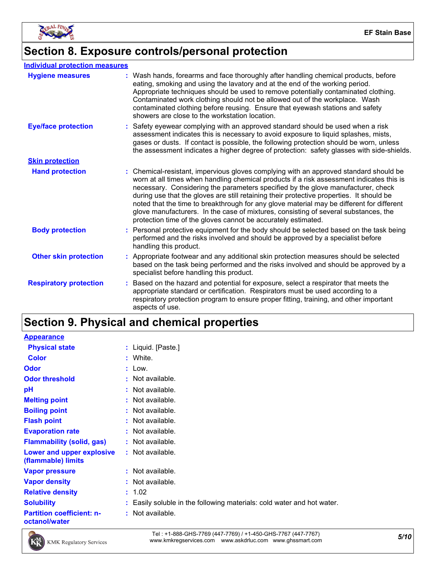

### **Section 8. Exposure controls/personal protection**

#### **Individual protection measures**

| <b>Hygiene measures</b>       | : Wash hands, forearms and face thoroughly after handling chemical products, before<br>eating, smoking and using the lavatory and at the end of the working period.<br>Appropriate techniques should be used to remove potentially contaminated clothing.<br>Contaminated work clothing should not be allowed out of the workplace. Wash<br>contaminated clothing before reusing. Ensure that eyewash stations and safety<br>showers are close to the workstation location.                                                                                                                                            |
|-------------------------------|------------------------------------------------------------------------------------------------------------------------------------------------------------------------------------------------------------------------------------------------------------------------------------------------------------------------------------------------------------------------------------------------------------------------------------------------------------------------------------------------------------------------------------------------------------------------------------------------------------------------|
| <b>Eye/face protection</b>    | : Safety eyewear complying with an approved standard should be used when a risk<br>assessment indicates this is necessary to avoid exposure to liquid splashes, mists,<br>gases or dusts. If contact is possible, the following protection should be worn, unless<br>the assessment indicates a higher degree of protection: safety glasses with side-shields.                                                                                                                                                                                                                                                         |
| <b>Skin protection</b>        |                                                                                                                                                                                                                                                                                                                                                                                                                                                                                                                                                                                                                        |
| <b>Hand protection</b>        | : Chemical-resistant, impervious gloves complying with an approved standard should be<br>worn at all times when handling chemical products if a risk assessment indicates this is<br>necessary. Considering the parameters specified by the glove manufacturer, check<br>during use that the gloves are still retaining their protective properties. It should be<br>noted that the time to breakthrough for any glove material may be different for different<br>glove manufacturers. In the case of mixtures, consisting of several substances, the<br>protection time of the gloves cannot be accurately estimated. |
| <b>Body protection</b>        | : Personal protective equipment for the body should be selected based on the task being<br>performed and the risks involved and should be approved by a specialist before<br>handling this product.                                                                                                                                                                                                                                                                                                                                                                                                                    |
| <b>Other skin protection</b>  | : Appropriate footwear and any additional skin protection measures should be selected<br>based on the task being performed and the risks involved and should be approved by a<br>specialist before handling this product.                                                                                                                                                                                                                                                                                                                                                                                              |
| <b>Respiratory protection</b> | Based on the hazard and potential for exposure, select a respirator that meets the<br>appropriate standard or certification. Respirators must be used according to a<br>respiratory protection program to ensure proper fitting, training, and other important<br>aspects of use.                                                                                                                                                                                                                                                                                                                                      |

### **Section 9. Physical and chemical properties**

| <b>Appearance</b>                                 |                                                                        |
|---------------------------------------------------|------------------------------------------------------------------------|
| <b>Physical state</b>                             | : Liquid. [Paste.]                                                     |
| <b>Color</b>                                      | : White.                                                               |
| <b>Odor</b>                                       | $:$ Low.                                                               |
| <b>Odor threshold</b>                             | : Not available.                                                       |
| рH                                                | : Not available.                                                       |
| <b>Melting point</b>                              | : Not available.                                                       |
| <b>Boiling point</b>                              | : Not available.                                                       |
| <b>Flash point</b>                                | : Not available.                                                       |
| <b>Evaporation rate</b>                           | : Not available.                                                       |
| <b>Flammability (solid, gas)</b>                  | : Not available.                                                       |
| Lower and upper explosive<br>(flammable) limits   | : Not available.                                                       |
| <b>Vapor pressure</b>                             | : Not available.                                                       |
| <b>Vapor density</b>                              | : Not available.                                                       |
| <b>Relative density</b>                           | : 1.02                                                                 |
| <b>Solubility</b>                                 | : Easily soluble in the following materials: cold water and hot water. |
| <b>Partition coefficient: n-</b><br>octanol/water | : Not available.                                                       |



*5/10* Tel : +1-888-GHS-7769 (447-7769) / +1-450-GHS-7767 (447-7767) www.kmkregservices.com www.askdrluc.com www.ghssmart.com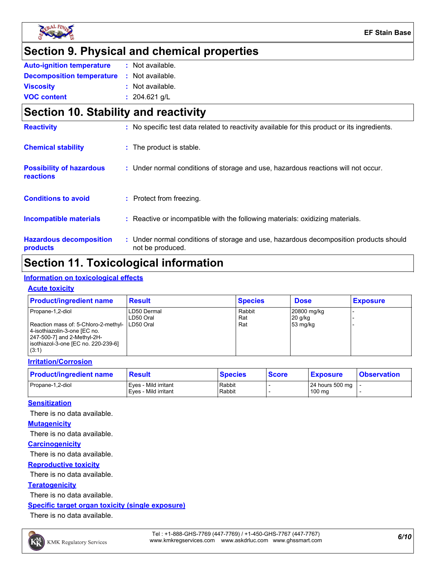

### **Section 9. Physical and chemical properties**

| <b>Auto-ignition temperature</b>                  | : Not available. |  |
|---------------------------------------------------|------------------|--|
| <b>Decomposition temperature : Not available.</b> |                  |  |
| <b>Viscosity</b>                                  | : Not available. |  |
| <b>VOC content</b>                                | : $204.621$ g/L  |  |

### **Section 10. Stability and reactivity**

| <b>Reactivity</b>                            | : No specific test data related to reactivity available for this product or its ingredients.              |
|----------------------------------------------|-----------------------------------------------------------------------------------------------------------|
| <b>Chemical stability</b>                    | : The product is stable.                                                                                  |
| <b>Possibility of hazardous</b><br>reactions | : Under normal conditions of storage and use, hazardous reactions will not occur.                         |
| <b>Conditions to avoid</b>                   | : Protect from freezing.                                                                                  |
| Incompatible materials                       | : Reactive or incompatible with the following materials: oxidizing materials.                             |
| <b>Hazardous decomposition</b><br>products   | : Under normal conditions of storage and use, hazardous decomposition products should<br>not be produced. |

### **Section 11. Toxicological information**

#### **Information on toxicological effects**

#### **Acute toxicity**

| <b>Product/ingredient name</b>                                                                                                                                                    | <b>Result</b>            | <b>Species</b>       | <b>Dose</b>                          | <b>Exposure</b> |
|-----------------------------------------------------------------------------------------------------------------------------------------------------------------------------------|--------------------------|----------------------|--------------------------------------|-----------------|
| Propane-1,2-diol<br>Reaction mass of: 5-Chloro-2-methyl- LD50 Oral<br>4-isothiazolin-3-one [EC no.<br>247-500-7] and 2-Methyl-2H-<br>isothiazol-3-one [EC no. 220-239-6]<br>(3:1) | LD50 Dermal<br>LD50 Oral | Rabbit<br>Rat<br>Rat | 20800 mg/kg<br>$20$ g/kg<br>53 mg/kg |                 |

#### **Irritation/Corrosion**

| <b>Product/ingredient name</b> | <b>Result</b>        | <b>Species</b> | <b>Score</b> | <b>Exposure</b>           | <b>Observation</b> |
|--------------------------------|----------------------|----------------|--------------|---------------------------|--------------------|
| Propane-1.2-diol               | Eves - Mild irritant | Rabbit         |              | 24 hours 500 mg $\vert$ - |                    |
|                                | Eves - Mild irritant | Rabbit         |              | $100 \text{ ma}$          |                    |

#### **Sensitization**

There is no data available.

#### **Mutagenicity**

There is no data available.

#### **Carcinogenicity**

There is no data available.

#### **Reproductive toxicity**

There is no data available.

#### **Teratogenicity**

There is no data available.

#### **Specific target organ toxicity (single exposure)**

There is no data available.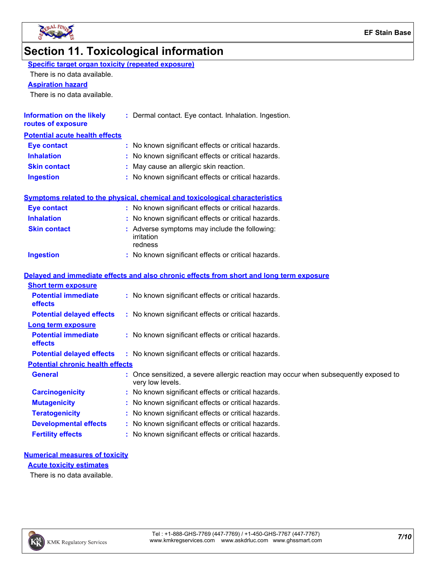

## **Section 11. Toxicological information**

| Specific target organ toxicity (repeated exposure) |
|----------------------------------------------------|
|----------------------------------------------------|

There is no data available.

#### **Aspiration hazard**

There is no data available.

| Information on the likely<br>routes of exposure | : Dermal contact. Eye contact. Inhalation. Ingestion. |
|-------------------------------------------------|-------------------------------------------------------|
| <b>Potential acute health effects</b>           |                                                       |
| <b>Eye contact</b>                              | : No known significant effects or critical hazards.   |
| <b>Inhalation</b>                               | : No known significant effects or critical hazards.   |
| <b>Skin contact</b>                             | : May cause an allergic skin reaction.                |
| <b>Ingestion</b>                                | : No known significant effects or critical hazards.   |

|                     | <b>Symptoms related to the physical, chemical and toxicological characteristics</b>      |
|---------------------|------------------------------------------------------------------------------------------|
| <b>Eye contact</b>  | : No known significant effects or critical hazards.                                      |
| <b>Inhalation</b>   | : No known significant effects or critical hazards.                                      |
| <b>Skin contact</b> | : Adverse symptoms may include the following:<br>irritation<br>redness                   |
| <b>Ingestion</b>    | : No known significant effects or critical hazards.                                      |
|                     | Delayed and immediate effects and also chronic effects from short and long term exposure |

|                                              | <u>Delayed and immediate enects and also chronic enects from short and fong term exposure</u>            |
|----------------------------------------------|----------------------------------------------------------------------------------------------------------|
| <b>Short term exposure</b>                   |                                                                                                          |
| <b>Potential immediate</b><br><b>effects</b> | : No known significant effects or critical hazards.                                                      |
| <b>Potential delayed effects</b>             | : No known significant effects or critical hazards.                                                      |
| <b>Long term exposure</b>                    |                                                                                                          |
| <b>Potential immediate</b><br><b>effects</b> | : No known significant effects or critical hazards.                                                      |
| <b>Potential delayed effects</b>             | : No known significant effects or critical hazards.                                                      |
| <b>Potential chronic health effects</b>      |                                                                                                          |
| <b>General</b>                               | : Once sensitized, a severe allergic reaction may occur when subsequently exposed to<br>very low levels. |
| <b>Carcinogenicity</b>                       | : No known significant effects or critical hazards.                                                      |
| <b>Mutagenicity</b>                          | : No known significant effects or critical hazards.                                                      |
| <b>Teratogenicity</b>                        | : No known significant effects or critical hazards.                                                      |
| <b>Developmental effects</b>                 | : No known significant effects or critical hazards.                                                      |
| <b>Fertility effects</b>                     | : No known significant effects or critical hazards.                                                      |

#### **Numerical measures of toxicity**

**Acute toxicity estimates**

There is no data available.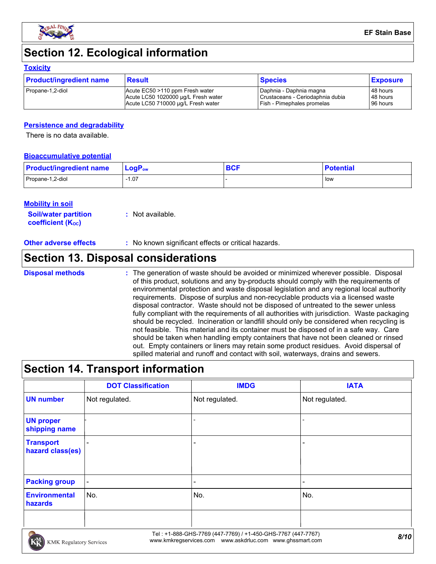

### **Section 12. Ecological information**

#### **Toxicity**

| <b>Product/ingredient name</b> | Result                              | <b>Species</b>                   | <b>Exposure</b> |
|--------------------------------|-------------------------------------|----------------------------------|-----------------|
| Propane-1,2-diol               | Acute EC50 >110 ppm Fresh water     | Daphnia - Daphnia magna          | 48 hours        |
|                                | Acute LC50 1020000 µg/L Fresh water | Crustaceans - Ceriodaphnia dubia | 48 hours        |
|                                | Acute LC50 710000 µg/L Fresh water  | Fish - Pimephales promelas       | 96 hours        |

#### **Persistence and degradability**

There is no data available.

#### **Bioaccumulative potential**

| <b>Product/ingredient name</b> | $\mathsf{LogP}_\mathsf{ow}$ | <b>BCF</b> | <b>Potential</b> |
|--------------------------------|-----------------------------|------------|------------------|
| Propane-1,2-diol               | $-1.07$                     |            | low              |

#### **Mobility in soil**

**Soil/water partition coefficient (KOC) :** Not available.

| <b>Other adverse effects</b> | ' No known significant effects or critical hazards. |  |
|------------------------------|-----------------------------------------------------|--|
|------------------------------|-----------------------------------------------------|--|

### **Section 13. Disposal considerations**

#### The generation of waste should be avoided or minimized wherever possible. Disposal of this product, solutions and any by-products should comply with the requirements of environmental protection and waste disposal legislation and any regional local authority requirements. Dispose of surplus and non-recyclable products via a licensed waste disposal contractor. Waste should not be disposed of untreated to the sewer unless fully compliant with the requirements of all authorities with jurisdiction. Waste packaging should be recycled. Incineration or landfill should only be considered when recycling is not feasible. This material and its container must be disposed of in a safe way. Care should be taken when handling empty containers that have not been cleaned or rinsed out. Empty containers or liners may retain some product residues. Avoid dispersal of spilled material and runoff and contact with soil, waterways, drains and sewers. **Disposal methods :**

### **Section 14. Transport information**

|                                      | <b>DOT Classification</b> | <b>IMDG</b>              | <b>IATA</b>    |
|--------------------------------------|---------------------------|--------------------------|----------------|
| <b>UN number</b>                     | Not regulated.            | Not regulated.           | Not regulated. |
| <b>UN proper</b><br>shipping name    |                           | $\overline{\phantom{a}}$ |                |
| <b>Transport</b><br>hazard class(es) |                           |                          |                |
| <b>Packing group</b>                 | $\blacksquare$            |                          |                |
| <b>Environmental</b><br>hazards      | No.                       | No.                      | No.            |
|                                      |                           |                          |                |

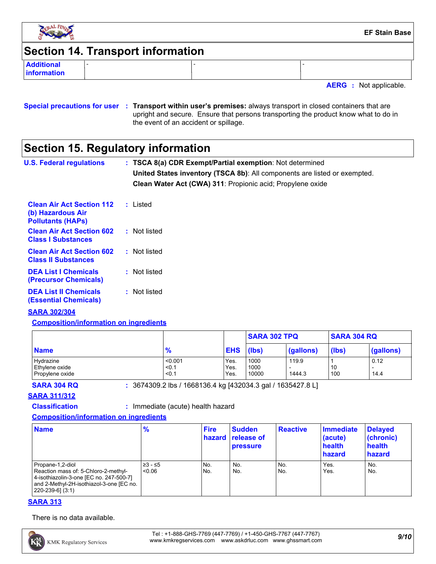

### **Section 14. Transport information**

**Additional information**

**AERG :** Not applicable.

#### **Special precautions for user Transport within user's premises:** always transport in closed containers that are **:** upright and secure. Ensure that persons transporting the product know what to do in the event of an accident or spillage.

### **Section 15. Regulatory information**

| <b>U.S. Federal regulations</b>                                                   | : TSCA 8(a) CDR Exempt/Partial exemption: Not determined<br>United States inventory (TSCA 8b): All components are listed or exempted.<br>Clean Water Act (CWA) 311: Propionic acid; Propylene oxide |
|-----------------------------------------------------------------------------------|-----------------------------------------------------------------------------------------------------------------------------------------------------------------------------------------------------|
| <b>Clean Air Act Section 112</b><br>(b) Hazardous Air<br><b>Pollutants (HAPs)</b> | : Listed                                                                                                                                                                                            |
| <b>Clean Air Act Section 602</b><br><b>Class I Substances</b>                     | : Not listed                                                                                                                                                                                        |
| <b>Clean Air Act Section 602</b><br><b>Class II Substances</b>                    | : Not listed                                                                                                                                                                                        |
| <b>DEA List I Chemicals</b>                                                       | : Not listed                                                                                                                                                                                        |

**(Precursor Chemicals) DEA List II Chemicals (Essential Chemicals) :** Not listed

#### **SARA 302/304**

**Composition/information on ingredients**

|                             |                  |              | <b>SARA 302 TPQ</b> |           | <b>SARA 304 RQ</b> |           |
|-----------------------------|------------------|--------------|---------------------|-----------|--------------------|-----------|
| <b>Name</b>                 | $\frac{9}{6}$    | <b>EHS</b>   | $($ (lbs)           | (gallons) | (lbs)              | (gallons) |
| Hydrazine<br>Ethylene oxide | < 0.001<br>< 0.1 | Yes.<br>Yes. | 1000<br>1000        | 119.9     | 10                 | 0.12      |
| Propylene oxide             | < 0.1            | Yes.         | 10000               | 1444.3    | 100                | 14.4      |

**SARA 304 RQ :** 3674309.2 lbs / 1668136.4 kg [432034.3 gal / 1635427.8 L]

#### **SARA 311/312**

**Classification :** Immediate (acute) health hazard

#### **Composition/information on ingredients**

| <b>Name</b>                                                                                                                                                            | $\frac{9}{6}$      | <b>Fire</b> | <b>Sudden</b><br>hazard release of<br><b>pressure</b> | <b>Reactive</b> | Immediate<br>(acute)<br>health<br>hazard | <b>Delayed</b><br>(chronic)<br>health<br>hazard |
|------------------------------------------------------------------------------------------------------------------------------------------------------------------------|--------------------|-------------|-------------------------------------------------------|-----------------|------------------------------------------|-------------------------------------------------|
| Propane-1,2-diol<br>Reaction mass of: 5-Chloro-2-methyl-<br>4-isothiazolin-3-one [EC no. 247-500-7]<br>and 2-Methyl-2H-isothiazol-3-one [EC no.<br>$[220-239-6]$ (3:1) | 1≥3 - ≤5<br>< 0.06 | No.<br>No.  | No.<br>No.                                            | No.<br>No.      | Yes.<br>Yes.                             | No.<br>No.                                      |

#### **SARA 313**

There is no data available.